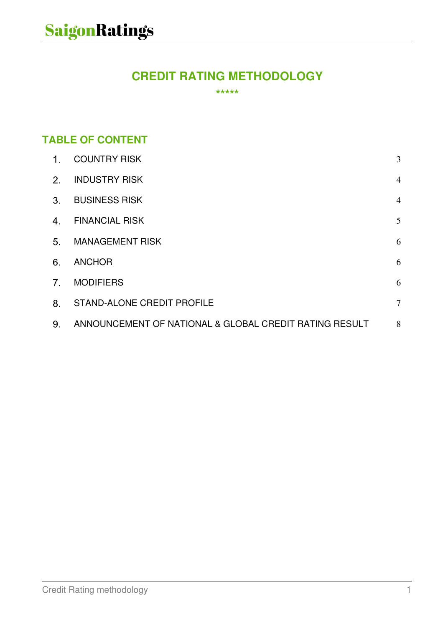### **CREDIT RATING METHODOLOGY**

**\*\*\*\*\*** 

### **TABLE OF CONTENT**

| $1_{-}$        | <b>COUNTRY RISK</b>                                    | 3              |
|----------------|--------------------------------------------------------|----------------|
| 2 <sub>1</sub> | <b>INDUSTRY RISK</b>                                   | $\overline{4}$ |
| 3 <sub>1</sub> | <b>BUSINESS RISK</b>                                   | $\overline{4}$ |
| 4.             | <b>FINANCIAL RISK</b>                                  | 5              |
| 5 <sub>1</sub> | <b>MANAGEMENT RISK</b>                                 | 6              |
| 6.             | <b>ANCHOR</b>                                          | 6              |
| 7 <sub>1</sub> | <b>MODIFIERS</b>                                       | 6              |
| 8 <sub>1</sub> | <b>STAND-ALONE CREDIT PROFILE</b>                      | $\tau$         |
| 9.             | ANNOUNCEMENT OF NATIONAL & GLOBAL CREDIT RATING RESULT | 8              |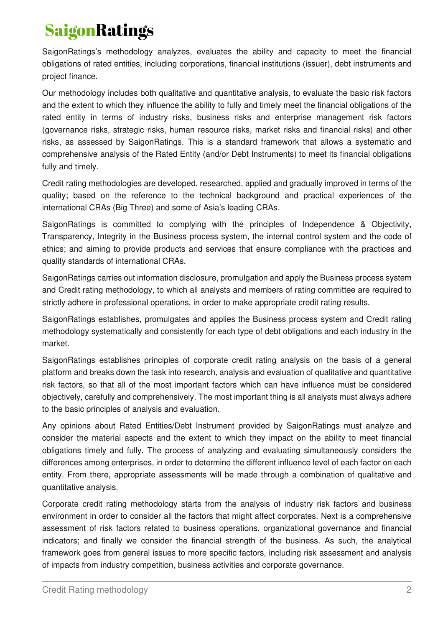SaigonRatings's methodology analyzes, evaluates the ability and capacity to meet the financial obligations of rated entities, including corporations, financial institutions (issuer), debt instruments and project finance.

Our methodology includes both qualitative and quantitative analysis, to evaluate the basic risk factors and the extent to which they influence the ability to fully and timely meet the financial obligations of the rated entity in terms of industry risks, business risks and enterprise management risk factors (governance risks, strategic risks, human resource risks, market risks and financial risks) and other risks, as assessed by SaigonRatings. This is a standard framework that allows a systematic and comprehensive analysis of the Rated Entity (and/or Debt Instruments) to meet its financial obligations fully and timely.

Credit rating methodologies are developed, researched, applied and gradually improved in terms of the quality; based on the reference to the technical background and practical experiences of the international CRAs (Big Three) and some of Asia's leading CRAs.

SaigonRatings is committed to complying with the principles of Independence & Objectivity, Transparency, Integrity in the Business process system, the internal control system and the code of ethics; and aiming to provide products and services that ensure compliance with the practices and quality standards of international CRAs.

SaigonRatings carries out information disclosure, promulgation and apply the Business process system and Credit rating methodology, to which all analysts and members of rating committee are required to strictly adhere in professional operations, in order to make appropriate credit rating results.

SaigonRatings establishes, promulgates and applies the Business process system and Credit rating methodology systematically and consistently for each type of debt obligations and each industry in the market.

SaigonRatings establishes principles of corporate credit rating analysis on the basis of a general platform and breaks down the task into research, analysis and evaluation of qualitative and quantitative risk factors, so that all of the most important factors which can have influence must be considered objectively, carefully and comprehensively. The most important thing is all analysts must always adhere to the basic principles of analysis and evaluation.

Any opinions about Rated Entities/Debt Instrument provided by SaigonRatings must analyze and consider the material aspects and the extent to which they impact on the ability to meet financial obligations timely and fully. The process of analyzing and evaluating simultaneously considers the differences among enterprises, in order to determine the different influence level of each factor on each entity. From there, appropriate assessments will be made through a combination of qualitative and quantitative analysis.

Corporate credit rating methodology starts from the analysis of industry risk factors and business environment in order to consider all the factors that might affect corporates. Next is a comprehensive assessment of risk factors related to business operations, organizational governance and financial indicators; and finally we consider the financial strength of the business. As such, the analytical framework goes from general issues to more specific factors, including risk assessment and analysis of impacts from industry competition, business activities and corporate governance.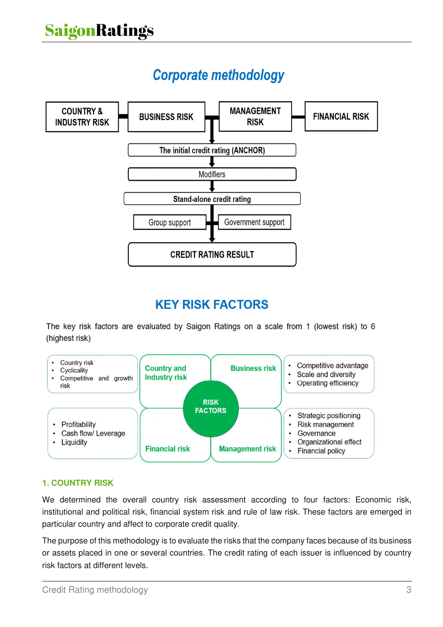## **Corporate methodology**



## **KEY RISK FACTORS**

The key risk factors are evaluated by Saigon Ratings on a scale from 1 (lowest risk) to 6 (highest risk)



#### **COUNTRY RISK**

We determined the overall country risk assessment according to four factors: Economic risk, institutional and political risk, financial system risk and rule of law risk. These factors are emerged in particular country and affect to corporate credit quality.

The purpose of this methodology is to evaluate the risks that the company faces because of its business or assets placed in one or several countries. The credit rating of each issuer is influenced by country risk factors at different levels.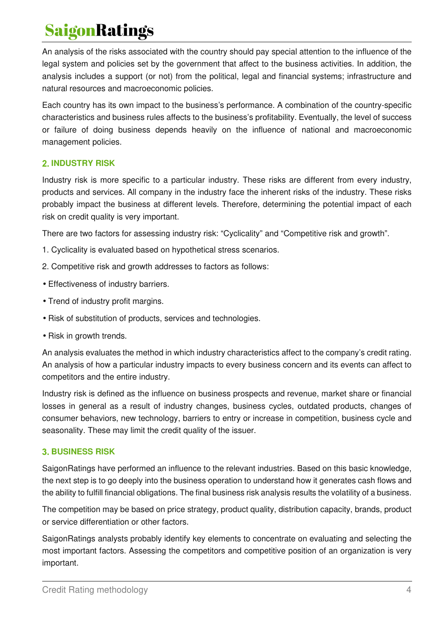An analysis of the risks associated with the country should pay special attention to the influence of the legal system and policies set by the government that affect to the business activities. In addition, the analysis includes a support (or not) from the political, legal and financial systems; infrastructure and natural resources and macroeconomic policies.

Each country has its own impact to the business's performance. A combination of the country-specific characteristics and business rules affects to the business's profitability. Eventually, the level of success or failure of doing business depends heavily on the influence of national and macroeconomic management policies.

#### **INDUSTRY RISK**

Industry risk is more specific to a particular industry. These risks are different from every industry, products and services. All company in the industry face the inherent risks of the industry. These risks probably impact the business at different levels. Therefore, determining the potential impact of each risk on credit quality is very important.

There are two factors for assessing industry risk: "Cyclicality" and "Competitive risk and growth".

- 1. Cyclicality is evaluated based on hypothetical stress scenarios.
- 2. Competitive risk and growth addresses to factors as follows:
- Effectiveness of industry barriers.
- Trend of industry profit margins.
- Risk of substitution of products, services and technologies.
- Risk in growth trends.

An analysis evaluates the method in which industry characteristics affect to the company's credit rating. An analysis of how a particular industry impacts to every business concern and its events can affect to competitors and the entire industry.

Industry risk is defined as the influence on business prospects and revenue, market share or financial losses in general as a result of industry changes, business cycles, outdated products, changes of consumer behaviors, new technology, barriers to entry or increase in competition, business cycle and seasonality. These may limit the credit quality of the issuer.

#### **BUSINESS RISK**

SaigonRatings have performed an influence to the relevant industries. Based on this basic knowledge, the next step is to go deeply into the business operation to understand how it generates cash flows and the ability to fulfill financial obligations. The final business risk analysis results the volatility of a business.

The competition may be based on price strategy, product quality, distribution capacity, brands, product or service differentiation or other factors.

SaigonRatings analysts probably identify key elements to concentrate on evaluating and selecting the most important factors. Assessing the competitors and competitive position of an organization is very important.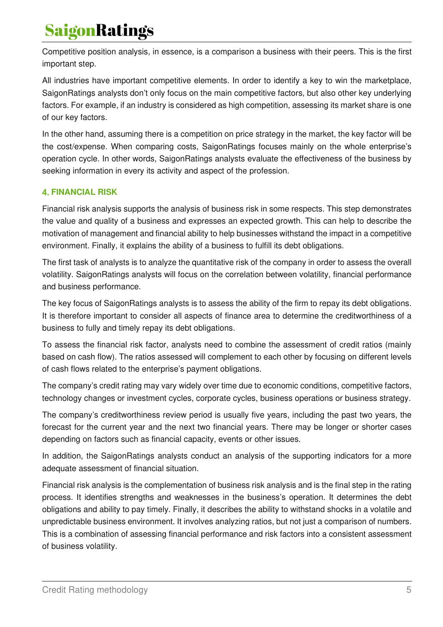Competitive position analysis, in essence, is a comparison a business with their peers. This is the first important step.

All industries have important competitive elements. In order to identify a key to win the marketplace, SaigonRatings analysts don't only focus on the main competitive factors, but also other key underlying factors. For example, if an industry is considered as high competition, assessing its market share is one of our key factors.

In the other hand, assuming there is a competition on price strategy in the market, the key factor will be the cost/expense. When comparing costs, SaigonRatings focuses mainly on the whole enterprise's operation cycle. In other words, SaigonRatings analysts evaluate the effectiveness of the business by seeking information in every its activity and aspect of the profession.

#### **FINANCIAL RISK**

Financial risk analysis supports the analysis of business risk in some respects. This step demonstrates the value and quality of a business and expresses an expected growth. This can help to describe the motivation of management and financial ability to help businesses withstand the impact in a competitive environment. Finally, it explains the ability of a business to fulfill its debt obligations.

The first task of analysts is to analyze the quantitative risk of the company in order to assess the overall volatility. SaigonRatings analysts will focus on the correlation between volatility, financial performance and business performance.

The key focus of SaigonRatings analysts is to assess the ability of the firm to repay its debt obligations. It is therefore important to consider all aspects of finance area to determine the creditworthiness of a business to fully and timely repay its debt obligations.

To assess the financial risk factor, analysts need to combine the assessment of credit ratios (mainly based on cash flow). The ratios assessed will complement to each other by focusing on different levels of cash flows related to the enterprise's payment obligations.

The company's credit rating may vary widely over time due to economic conditions, competitive factors, technology changes or investment cycles, corporate cycles, business operations or business strategy.

The company's creditworthiness review period is usually five years, including the past two years, the forecast for the current year and the next two financial years. There may be longer or shorter cases depending on factors such as financial capacity, events or other issues.

In addition, the SaigonRatings analysts conduct an analysis of the supporting indicators for a more adequate assessment of financial situation.

Financial risk analysis is the complementation of business risk analysis and is the final step in the rating process. It identifies strengths and weaknesses in the business's operation. It determines the debt obligations and ability to pay timely. Finally, it describes the ability to withstand shocks in a volatile and unpredictable business environment. It involves analyzing ratios, but not just a comparison of numbers. This is a combination of assessing financial performance and risk factors into a consistent assessment of business volatility.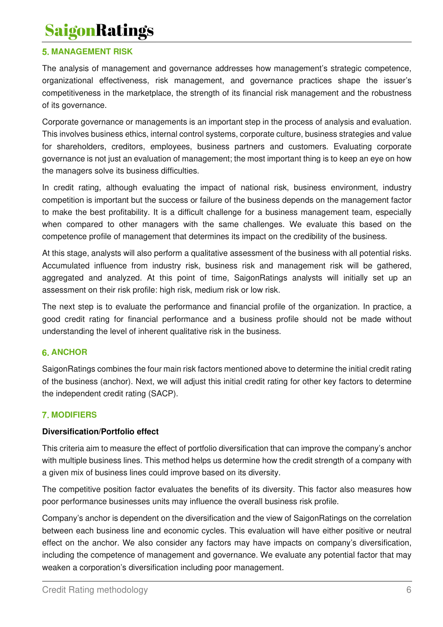#### **5. MANAGEMENT RISK**

The analysis of management and governance addresses how management's strategic competence, organizational effectiveness, risk management, and governance practices shape the issuer's competitiveness in the marketplace, the strength of its financial risk management and the robustness of its governance.

Corporate governance or managements is an important step in the process of analysis and evaluation. This involves business ethics, internal control systems, corporate culture, business strategies and value for shareholders, creditors, employees, business partners and customers. Evaluating corporate governance is not just an evaluation of management; the most important thing is to keep an eye on how the managers solve its business difficulties.

In credit rating, although evaluating the impact of national risk, business environment, industry competition is important but the success or failure of the business depends on the management factor to make the best profitability. It is a difficult challenge for a business management team, especially when compared to other managers with the same challenges. We evaluate this based on the competence profile of management that determines its impact on the credibility of the business.

At this stage, analysts will also perform a qualitative assessment of the business with all potential risks. Accumulated influence from industry risk, business risk and management risk will be gathered, aggregated and analyzed. At this point of time, SaigonRatings analysts will initially set up an assessment on their risk profile: high risk, medium risk or low risk.

The next step is to evaluate the performance and financial profile of the organization. In practice, a good credit rating for financial performance and a business profile should not be made without understanding the level of inherent qualitative risk in the business.

#### **ANCHOR**

SaigonRatings combines the four main risk factors mentioned above to determine the initial credit rating of the business (anchor). Next, we will adjust this initial credit rating for other key factors to determine the independent credit rating (SACP).

#### **MODIFIERS**

#### **Diversification/Portfolio effect**

This criteria aim to measure the effect of portfolio diversification that can improve the company's anchor with multiple business lines. This method helps us determine how the credit strength of a company with a given mix of business lines could improve based on its diversity.

The competitive position factor evaluates the benefits of its diversity. This factor also measures how poor performance businesses units may influence the overall business risk profile.

Company's anchor is dependent on the diversification and the view of SaigonRatings on the correlation between each business line and economic cycles. This evaluation will have either positive or neutral effect on the anchor. We also consider any factors may have impacts on company's diversification, including the competence of management and governance. We evaluate any potential factor that may weaken a corporation's diversification including poor management.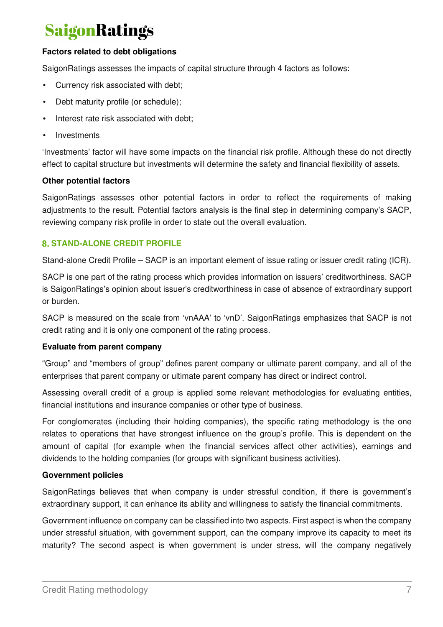#### **Factors related to debt obligations**

SaigonRatings assesses the impacts of capital structure through 4 factors as follows:

- Currency risk associated with debt;
- Debt maturity profile (or schedule);
- Interest rate risk associated with debt;
- **Investments**

'Investments' factor will have some impacts on the financial risk profile. Although these do not directly effect to capital structure but investments will determine the safety and financial flexibility of assets.

#### **Other potential factors**

SaigonRatings assesses other potential factors in order to reflect the requirements of making adjustments to the result. Potential factors analysis is the final step in determining company's SACP, reviewing company risk profile in order to state out the overall evaluation.

#### **STAND-ALONE CREDIT PROFILE**

Stand-alone Credit Profile – SACP is an important element of issue rating or issuer credit rating (ICR).

SACP is one part of the rating process which provides information on issuers' creditworthiness. SACP is SaigonRatings's opinion about issuer's creditworthiness in case of absence of extraordinary support or burden.

SACP is measured on the scale from 'vnAAA' to 'vnD'. SaigonRatings emphasizes that SACP is not credit rating and it is only one component of the rating process.

#### **Evaluate from parent company**

"Group" and "members of group" defines parent company or ultimate parent company, and all of the enterprises that parent company or ultimate parent company has direct or indirect control.

Assessing overall credit of a group is applied some relevant methodologies for evaluating entities, financial institutions and insurance companies or other type of business.

For conglomerates (including their holding companies), the specific rating methodology is the one relates to operations that have strongest influence on the group's profile. This is dependent on the amount of capital (for example when the financial services affect other activities), earnings and dividends to the holding companies (for groups with significant business activities).

#### **Government policies**

SaigonRatings believes that when company is under stressful condition, if there is government's extraordinary support, it can enhance its ability and willingness to satisfy the financial commitments.

Government influence on company can be classified into two aspects. First aspect is when the company under stressful situation, with government support, can the company improve its capacity to meet its maturity? The second aspect is when government is under stress, will the company negatively